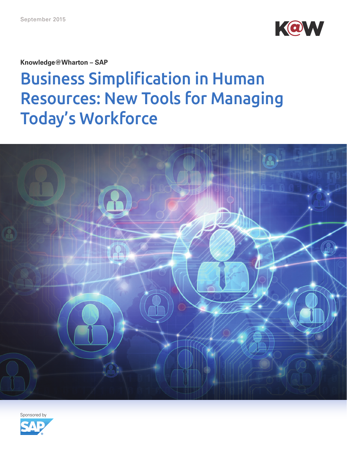

**Knowledge@Wharton – SAP** 

# Business Simplification in Human Resources: New Tools for Managing Today's Workforce



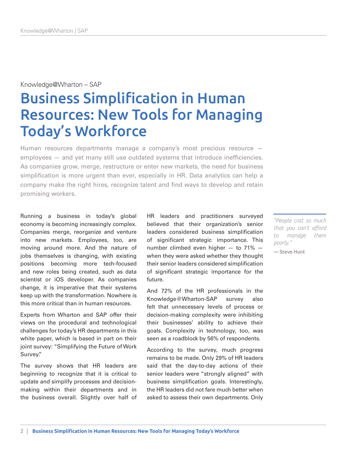## Knowledge@Wharton – SAP

# Business Simplification in Human Resources: New Tools for Managing Today's Workforce

Human resources departments manage a company's most precious resource employees — and yet many still use outdated systems that introduce inefficiencies. As companies grow, merge, restructure or enter new markets, the need for business simplification is more urgent than ever, especially in HR. Data analytics can help a company make the right hires, recognize talent and find ways to develop and retain promising workers.

Running a business in today's global economy is becoming increasingly complex. Companies merge, reorganize and venture into new markets. Employees, too, are moving around more. And the nature of jobs themselves is changing, with existing positions becoming more tech-focused and new roles being created, such as data scientist or iOS developer. As companies change, it is imperative that their systems keep up with the transformation. Nowhere is this more critical than in human resources.

Experts from Wharton and SAP offer their views on the procedural and technological challenges for today's HR departments in this white paper, which is based in part on their joint survey: "Simplifying the Future of Work Survey."

The survey shows that HR leaders are beginning to recognize that it is critical to update and simplify processes and decisionmaking within their departments and in the business overall. Slightly over half of HR leaders and practitioners surveyed believed that their organization's senior leaders considered business simplification of significant strategic importance. This number climbed even higher — to 71% when they were asked whether they thought their senior leaders considered simplification of significant strategic importance for the future.

And 72% of the HR professionals in the Knowledge@Wharton-SAP survey also felt that unnecessary levels of process or decision-making complexity were inhibiting their businesses' ability to achieve their goals. Complexity in technology, too, was seen as a roadblock by 56% of respondents.

According to the survey, much progress remains to be made. Only 29% of HR leaders said that the day-to-day actions of their senior leaders were "strongly aligned" with business simplification goals. Interestingly, the HR leaders did not fare much better when asked to assess their own departments. Only

*"People cost so much that you can't afford to manage them poorly."* 

— Steve Hunt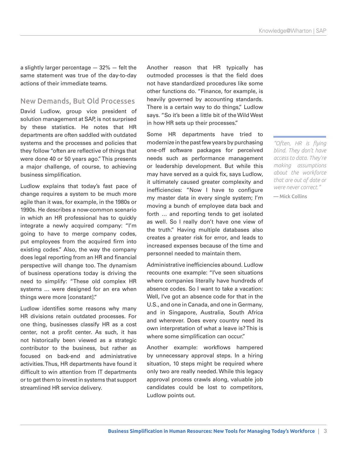a slightly larger percentage — 32% — felt the same statement was true of the day-to-day actions of their immediate teams.

#### New Demands, But Old Processes

David Ludlow, group vice president of solution management at SAP, is not surprised by these statistics. He notes that HR departments are often saddled with outdated systems and the processes and policies that they follow "often are reflective of things that were done 40 or 50 years ago." This presents a major challenge, of course, to achieving business simplification.

Ludlow explains that today's fast pace of change requires a system to be much more agile than it was, for example, in the 1980s or 1990s. He describes a now-common scenario in which an HR professional has to quickly integrate a newly acquired company: "I'm going to have to merge company codes, put employees from the acquired firm into existing codes." Also, the way the company does legal reporting from an HR and financial perspective will change too. The dynamism of business operations today is driving the need to simplify: "These old complex HR systems … were designed for an era when things were more [constant]."

Ludlow identifies some reasons why many HR divisions retain outdated processes. For one thing, businesses classify HR as a cost center, not a profit center. As such, it has not historically been viewed as a strategic contributor to the business, but rather as focused on back-end and administrative activities. Thus, HR departments have found it difficult to win attention from IT departments or to get them to invest in systems that support streamlined HR service delivery.

Another reason that HR typically has outmoded processes is that the field does not have standardized procedures like some other functions do. "Finance, for example, is heavily governed by accounting standards. There is a certain way to do things," Ludlow says. "So it's been a little bit of the Wild West in how HR sets up their processes."

Some HR departments have tried to modernize in the past few years by purchasing one-off software packages for perceived needs such as performance management or leadership development. But while this may have served as a quick fix, says Ludlow, it ultimately caused greater complexity and inefficiencies: "Now I have to configure my master data in every single system; I'm moving a bunch of employee data back and forth … and reporting tends to get isolated as well. So I really don't have one view of the truth." Having multiple databases also creates a greater risk for error, and leads to increased expenses because of the time and personnel needed to maintain them.

Administrative inefficiencies abound. Ludlow recounts one example: "I've seen situations where companies literally have hundreds of absence codes. So I want to take a vacation: Well, I've got an absence code for that in the U.S., and one in Canada, and one in Germany, and in Singapore, Australia, South Africa and wherever. Does every country need its own interpretation of what a leave is? This is where some simplification can occur."

Another example: workflows hampered by unnecessary approval steps. In a hiring situation, 10 steps might be required where only two are really needed. While this legacy approval process crawls along, valuable job candidates could be lost to competitors, Ludlow points out.

*"Often, HR is flying blind. They don't have access to data. They're making assumptions about the workforce that are out of date or were never correct."*  — Mick Collins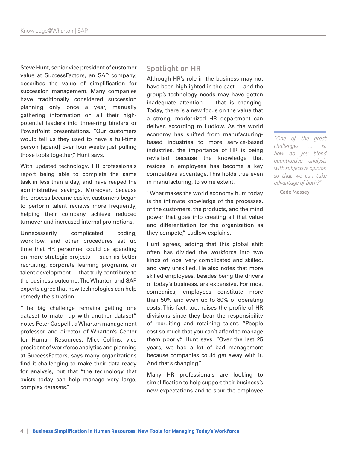Steve Hunt, senior vice president of customer value at SuccessFactors, an SAP company, describes the value of simplification for succession management. Many companies have traditionally considered succession planning only once a year, manually gathering information on all their highpotential leaders into three-ring binders or PowerPoint presentations. "Our customers would tell us they used to have a full-time person [spend] over four weeks just pulling those tools together," Hunt says.

With updated technology, HR professionals report being able to complete the same task in less than a day, and have reaped the administrative savings. Moreover, because the process became easier, customers began to perform talent reviews more frequently, helping their company achieve reduced turnover and increased internal promotions.

Unnecessarily complicated coding, workflow, and other procedures eat up time that HR personnel could be spending on more strategic projects — such as better recruiting, corporate learning programs, or talent development — that truly contribute to the business outcome. The Wharton and SAP experts agree that new technologies can help remedy the situation.

"The big challenge remains getting one dataset to match up with another dataset," notes Peter Cappelli, a Wharton management professor and director of Wharton's Center for Human Resources. Mick Collins, vice president of workforce analytics and planning at SuccessFactors, says many organizations find it challenging to make their data ready for analysis, but that "the technology that exists today can help manage very large, complex datasets."

## Spotlight on HR

Although HR's role in the business may not have been highlighted in the past — and the group's technology needs may have gotten inadequate attention — that is changing. Today, there is a new focus on the value that a strong, modernized HR department can deliver, according to Ludlow. As the world economy has shifted from manufacturingbased industries to more service-based industries, the importance of HR is being revisited because the knowledge that resides in employees has become a key competitive advantage. This holds true even in manufacturing, to some extent.

"What makes the world economy hum today is the intimate knowledge of the processes, of the customers, the products, and the mind power that goes into creating all that value and differentiation for the organization as they compete," Ludlow explains.

Hunt agrees, adding that this global shift often has divided the workforce into two kinds of jobs: very complicated and skilled, and very unskilled. He also notes that more skilled employees, besides being the drivers of today's business, are expensive. For most companies, employees constitute more than 50% and even up to 80% of operating costs. This fact, too, raises the profile of HR divisions since they bear the responsibility of recruiting and retaining talent. "People cost so much that you can't afford to manage them poorly," Hunt says. "Over the last 25 years, we had a lot of bad management because companies could get away with it. And that's changing."

Many HR professionals are looking to simplification to help support their business's new expectations and to spur the employee

*"One of the great challenges … is, how do you blend quantitative analysis with subjective opinion so that we can take advantage of both?"* 

— Cade Massey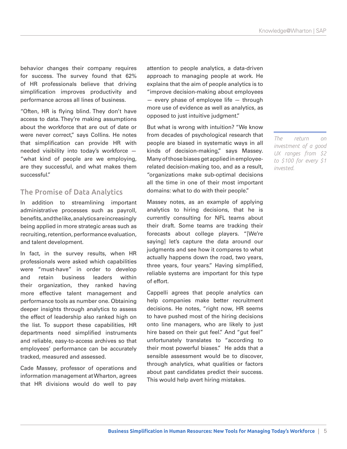behavior changes their company requires for success. The survey found that 62% of HR professionals believe that driving simplification improves productivity and performance across all lines of business.

"Often, HR is flying blind. They don't have access to data. They're making assumptions about the workforce that are out of date or were never correct," says Collins. He notes that simplification can provide HR with needed visibility into today's workforce — "what kind of people are we employing, are they successful, and what makes them successful."

# The Promise of Data Analytics

In addition to streamlining important administrative processes such as payroll, benefits, and the like, analytics are increasingly being applied in more strategic areas such as recruiting, retention, performance evaluation, and talent development.

In fact, in the survey results, when HR professionals were asked which capabilities were "must-have" in order to develop and retain business leaders within their organization, they ranked having more effective talent management and performance tools as number one. Obtaining deeper insights through analytics to assess the effect of leadership also ranked high on the list. To support these capabilities, HR departments need simplified instruments and reliable, easy-to-access archives so that employees' performance can be accurately tracked, measured and assessed.

Cade Massey, professor of operations and information management at Wharton, agrees that HR divisions would do well to pay attention to people analytics, a data-driven approach to managing people at work. He explains that the aim of people analytics is to "improve decision-making about employees  $-$  every phase of employee life  $-$  through more use of evidence as well as analytics, as opposed to just intuitive judgment."

But what is wrong with intuition? "We know from decades of psychological research that people are biased in systematic ways in all kinds of decision-making," says Massey. Many of those biases get applied in employeerelated decision-making too, and as a result, "organizations make sub-optimal decisions all the time in one of their most important domains: what to do with their people."

Massey notes, as an example of applying analytics to hiring decisions, that he is currently consulting for NFL teams about their draft. Some teams are tracking their forecasts about college players. "[We're saying] let's capture the data around our judgments and see how it compares to what actually happens down the road, two years, three years, four years." Having simplified, reliable systems are important for this type of effort.

Cappelli agrees that people analytics can help companies make better recruitment decisions. He notes, "right now, HR seems to have pushed most of the hiring decisions onto line managers, who are likely to just hire based on their gut feel." And "gut feel" unfortunately translates to "according to their most powerful biases." He adds that a sensible assessment would be to discover, through analytics, what qualities or factors about past candidates predict their success. This would help avert hiring mistakes.

*The return on investment of a good UX ranges from \$2 to \$100 for every \$1 invested.*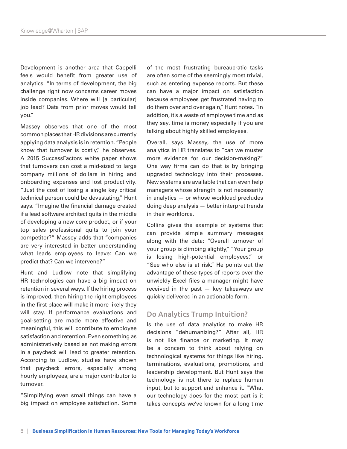Development is another area that Cappelli feels would benefit from greater use of analytics. "In terms of development, the big challenge right now concerns career moves inside companies. Where will [a particular] job lead? Data from prior moves would tell you."

Massey observes that one of the most common places that HR divisions are currently applying data analysis is in retention. "People know that turnover is costly," he observes. A 2015 SuccessFactors white paper shows that turnovers can cost a mid-sized to large company millions of dollars in hiring and onboarding expenses and lost productivity. "Just the cost of losing a single key critical technical person could be devastating," Hunt says. "Imagine the financial damage created if a lead software architect quits in the middle of developing a new core product, or if your top sales professional quits to join your competitor?" Massey adds that "companies are very interested in better understanding what leads employees to leave: Can we predict that? Can we intervene?"

Hunt and Ludlow note that simplifying HR technologies can have a big impact on retention in several ways. If the hiring process is improved, then hiring the right employees in the first place will make it more likely they will stay. If performance evaluations and goal-setting are made more effective and meaningful, this will contribute to employee satisfaction and retention. Even something as administratively based as not making errors in a paycheck will lead to greater retention. According to Ludlow, studies have shown that paycheck errors, especially among hourly employees, are a major contributor to turnover.

"Simplifying even small things can have a big impact on employee satisfaction. Some of the most frustrating bureaucratic tasks are often some of the seemingly most trivial, such as entering expense reports. But these can have a major impact on satisfaction because employees get frustrated having to do them over and over again," Hunt notes. "In addition, it's a waste of employee time and as they say, time is money especially if you are talking about highly skilled employees.

Overall, says Massey, the use of more analytics in HR translates to "can we muster more evidence for our decision-making?" One way firms can do that is by bringing upgraded technology into their processes. New systems are available that can even help managers whose strength is not necessarily in analytics — or whose workload precludes doing deep analysis — better interpret trends in their workforce.

Collins gives the example of systems that can provide simple summary messages along with the data: "Overall turnover of your group is climbing slightly," "Your group is losing high-potential employees," or "See who else is at risk." He points out the advantage of these types of reports over the unwieldy Excel files a manager might have received in the past — key takeaways are quickly delivered in an actionable form.

#### Do Analytics Trump Intuition?

Is the use of data analytics to make HR decisions "dehumanizing?" After all, HR is not like finance or marketing. It may be a concern to think about relying on technological systems for things like hiring, terminations, evaluations, promotions, and leadership development. But Hunt says the technology is not there to replace human input, but to support and enhance it. "What our technology does for the most part is it takes concepts we've known for a long time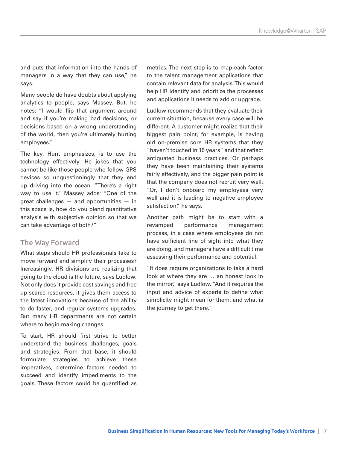and puts that information into the hands of managers in a way that they can use," he says.

Many people do have doubts about applying analytics to people, says Massey. But, he notes: "I would flip that argument around and say if you're making bad decisions, or decisions based on a wrong understanding of the world, then you're ultimately hurting employees."

The key, Hunt emphasizes, is to use the technology effectively. He jokes that you cannot be like those people who follow GPS devices so unquestioningly that they end up driving into the ocean. "There's a right way to use it." Massey adds: "One of the great challenges — and opportunities — in this space is, how do you blend quantitative analysis with subjective opinion so that we can take advantage of both?"

## The Way Forward

What steps should HR professionals take to move forward and simplify their processes? Increasingly, HR divisions are realizing that going to the cloud is the future, says Ludlow. Not only does it provide cost savings and free up scarce resources, it gives them access to the latest innovations because of the ability to do faster, and regular systems upgrades. But many HR departments are not certain where to begin making changes.

To start, HR should first strive to better understand the business challenges, goals and strategies. From that base, it should formulate strategies to achieve these imperatives, determine factors needed to succeed and identify impediments to the goals. These factors could be quantified as metrics. The next step is to map each factor to the talent management applications that contain relevant data for analysis. This would help HR identify and prioritize the processes and applications it needs to add or upgrade.

Ludlow recommends that they evaluate their current situation, because every case will be different. A customer might realize that their biggest pain point, for example, is having old on-premise core HR systems that they "haven't touched in 15 years" and that reflect antiquated business practices. Or perhaps they have been maintaining their systems fairly effectively, and the bigger pain point is that the company does not recruit very well. "Or, I don't onboard my employees very well and it is leading to negative employee satisfaction," he says.

Another path might be to start with a revamped performance management process, in a case where employees do not have sufficient line of sight into what they are doing, and managers have a difficult time assessing their performance and potential.

"It does require organizations to take a hard look at where they are … an honest look in the mirror," says Ludlow. "And it requires the input and advice of experts to define what simplicity might mean for them, and what is the journey to get there."